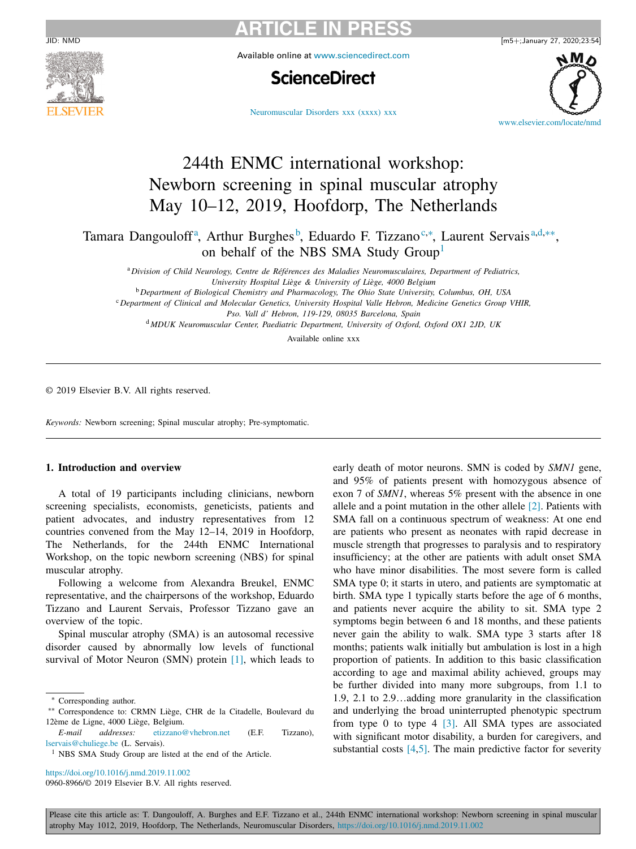



Available online at [www.sciencedirect.com](http://www.sciencedirect.com)

**ARTICLE IN PRESS**

# **ScienceDirect**

JID: NMD [m5+;January 27, 2020;23:54]

[Neuromuscular](https://doi.org/10.1016/j.nmd.2019.11.002) Disorders xxx (xxxx) xxx



# 244th ENMC international workshop: Newborn screening in spinal muscular atrophy May 10–12, 2019, Hoofdorp, The Netherlands

Tamara Dangouloff<sup>a</sup>, Arthur Burghes<sup>b</sup>, Eduardo F. Tizzano<sup>c,∗</sup>, Laurent Servais<sup>a,d,</sup>\*\*, on behalf of the NBS SMA Study Group<sup>1</sup>

<sup>a</sup> *Division of Child Neurology, Centre de Références des Maladies Neuromusculaires, Department of Pediatrics, University Hospital Liège & University of Liège, 4000 Belgium*

<sup>b</sup> *Department of Biological Chemistry and Pharmacology, The Ohio State University, Columbus, OH, USA*

<sup>c</sup> *Department of Clinical and Molecular Genetics, University Hospital Valle Hebron, Medicine Genetics Group VHIR, Pso. Vall d' Hebron, 119-129, 08035 Barcelona, Spain*

<sup>d</sup> *MDUK Neuromuscular Center, Paediatric Department, University of Oxford, Oxford OX1 2JD, UK*

Available online xxx

© 2019 Elsevier B.V. All rights reserved.

*Keywords:* Newborn screening; Spinal muscular atrophy; Pre-symptomatic.

#### **1. Introduction and overview**

A total of 19 participants including clinicians, newborn screening specialists, economists, geneticists, patients and patient advocates, and industry representatives from 12 countries convened from the May 12–14, 2019 in Hoofdorp, The Netherlands, for the 244th ENMC International Workshop, on the topic newborn screening (NBS) for spinal muscular atrophy.

Following a welcome from Alexandra Breukel, ENMC representative, and the chairpersons of the workshop, Eduardo Tizzano and Laurent Servais, Professor Tizzano gave an overview of the topic.

Spinal muscular atrophy (SMA) is an autosomal recessive disorder caused by abnormally low levels of functional survival of Motor Neuron (SMN) protein [\[1\],](#page-9-0) which leads to

<https://doi.org/10.1016/j.nmd.2019.11.002>

0960-8966/© 2019 Elsevier B.V. All rights reserved.

early death of motor neurons. SMN is coded by *SMN1* gene, and 95% of patients present with homozygous absence of exon 7 of *SMN1*, whereas 5% present with the absence in one allele and a point mutation in the other allele [\[2\].](#page-9-0) Patients with SMA fall on a continuous spectrum of weakness: At one end are patients who present as neonates with rapid decrease in muscle strength that progresses to paralysis and to respiratory insufficiency; at the other are patients with adult onset SMA who have minor disabilities. The most severe form is called SMA type 0; it starts in utero, and patients are symptomatic at birth. SMA type 1 typically starts before the age of 6 months, and patients never acquire the ability to sit. SMA type 2 symptoms begin between 6 and 18 months, and these patients never gain the ability to walk. SMA type 3 starts after 18 months; patients walk initially but ambulation is lost in a high proportion of patients. In addition to this basic classification according to age and maximal ability achieved, groups may be further divided into many more subgroups, from 1.1 to 1.9, 2.1 to 2.9…adding more granularity in the classification and underlying the broad uninterrupted phenotypic spectrum from type 0 to type 4  $\lceil 3 \rceil$ . All SMA types are associated with significant motor disability, a burden for caregivers, and substantial costs  $[4,5]$ . The main predictive factor for severity

Corresponding author.

<sup>∗∗</sup> Correspondence to: CRMN Liège, CHR de la Citadelle, Boulevard du 12ème de Ligne, 4000 Liège, Belgium.

*E-mail addresses:* [etizzano@vhebron.net](mailto:etizzano@vhebron.net) (E.F. Tizzano), [lservais@chuliege.be](mailto:lservais@chuliege.be) (L. Servais).

<sup>&</sup>lt;sup>1</sup> NBS SMA Study Group are listed at the end of the Article.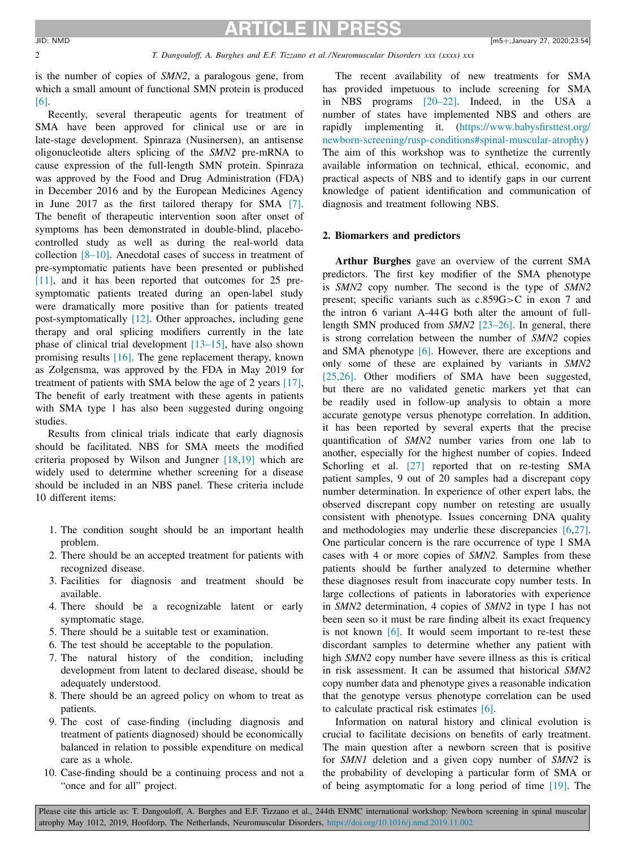2 *T. Dangouloff, A. Burghes and E.F. Tizzano et al./Neuromuscular Disorders xxx (xxxx) xxx*

is the number of copies of *SMN2*, a paralogous gene, from which a small amount of functional SMN protein is produced [\[6\].](#page-9-0)

Recently, several therapeutic agents for treatment of SMA have been approved for clinical use or are in late-stage development. Spinraza (Nusinersen), an antisense oligonucleotide alters splicing of the *SMN2* pre-mRNA to cause expression of the full-length SMN protein. Spinraza was approved by the Food and Drug Administration (FDA) in December 2016 and by the European Medicines Agency in June 2017 as the first tailored therapy for SMA [\[7\].](#page-9-0) The benefit of therapeutic intervention soon after onset of symptoms has been demonstrated in double-blind, placebocontrolled study as well as during the real-world data collection [\[8–10\].](#page-9-0) Anecdotal cases of success in treatment of pre-symptomatic patients have been presented or published [\[11\],](#page-9-0) and it has been reported that outcomes for 25 presymptomatic patients treated during an open-label study were dramatically more positive than for patients treated post-symptomatically [\[12\].](#page-9-0) Other approaches, including gene therapy and oral splicing modifiers currently in the late phase of clinical trial development [\[13–15\],](#page-9-0) have also shown promising results [\[16\].](#page-9-0) The gene replacement therapy, known as Zolgensma, was approved by the FDA in May 2019 for treatment of patients with SMA below the age of 2 years [\[17\],](#page-9-0) The benefit of early treatment with these agents in patients with SMA type 1 has also been suggested during ongoing studies.

Results from clinical trials indicate that early diagnosis should be facilitated. NBS for SMA meets the modified criteria proposed by Wilson and Jungner [\[18,19\]](#page-9-0) which are widely used to determine whether screening for a disease should be included in an NBS panel. These criteria include 10 different items:

- 1. The condition sought should be an important health problem.
- 2. There should be an accepted treatment for patients with recognized disease.
- 3. Facilities for diagnosis and treatment should be available.
- 4. There should be a recognizable latent or early symptomatic stage.
- 5. There should be a suitable test or examination.
- 6. The test should be acceptable to the population.
- 7. The natural history of the condition, including development from latent to declared disease, should be adequately understood.
- 8. There should be an agreed policy on whom to treat as patients.
- 9. The cost of case-finding (including diagnosis and treatment of patients diagnosed) should be economically balanced in relation to possible expenditure on medical care as a whole.
- 10. Case-finding should be a continuing process and not a "once and for all" project.

The recent availability of new treatments for SMA has provided impetuous to include screening for SMA in NBS programs [\[20–22\].](#page-9-0) Indeed, in the USA a number of states have implemented NBS and others are rapidly implementing it. (https://www.babysfirsttest.org/ [newborn-screening/rusp-conditions#spinal-muscular-atrophy\)](https://www.babysfirsttest.org/newborn-screening/rusp-conditions#spinal-muscular-atrophy) The aim of this workshop was to synthetize the currently available information on technical, ethical, economic, and practical aspects of NBS and to identify gaps in our current knowledge of patient identification and communication of diagnosis and treatment following NBS.

#### **2. Biomarkers and predictors**

**Arthur Burghes** gave an overview of the current SMA predictors. The first key modifier of the SMA phenotype is *SMN2* copy number. The second is the type of *SMN2* present; specific variants such as c.859G>C in exon 7 and the intron 6 variant A-44G both alter the amount of fulllength SMN produced from *SMN2* [\[23–26\].](#page-9-0) In general, there is strong correlation between the number of *SMN2* copies and SMA phenotype [\[6\].](#page-9-0) However, there are exceptions and only some of these are explained by variants in *SMN2* [\[25,26\].](#page-9-0) Other modifiers of SMA have been suggested, but there are no validated genetic markers yet that can be readily used in follow-up analysis to obtain a more accurate genotype versus phenotype correlation. In addition, it has been reported by several experts that the precise quantification of *SMN2* number varies from one lab to another, especially for the highest number of copies. Indeed Schorling et al. [\[27\]](#page-9-0) reported that on re-testing SMA patient samples, 9 out of 20 samples had a discrepant copy number determination. In experience of other expert labs, the observed discrepant copy number on retesting are usually consistent with phenotype. Issues concerning DNA quality and methodologies may underlie these discrepancies [\[6,27\].](#page-9-0) One particular concern is the rare occurrence of type 1 SMA cases with 4 or more copies of *SMN2.* Samples from these patients should be further analyzed to determine whether these diagnoses result from inaccurate copy number tests. In large collections of patients in laboratories with experience in *SMN2* determination, 4 copies of *SMN2* in type 1 has not been seen so it must be rare finding albeit its exact frequency is not known  $[6]$ . It would seem important to re-test these discordant samples to determine whether any patient with high *SMN2* copy number have severe illness as this is critical in risk assessment. It can be assumed that historical *SMN2* copy number data and phenotype gives a reasonable indication that the genotype versus phenotype correlation can be used to calculate practical risk estimates [\[6\].](#page-9-0)

Information on natural history and clinical evolution is crucial to facilitate decisions on benefits of early treatment. The main question after a newborn screen that is positive for *SMN1* deletion and a given copy number of *SMN2* is the probability of developing a particular form of SMA or of being asymptomatic for a long period of time [\[19\].](#page-9-0) The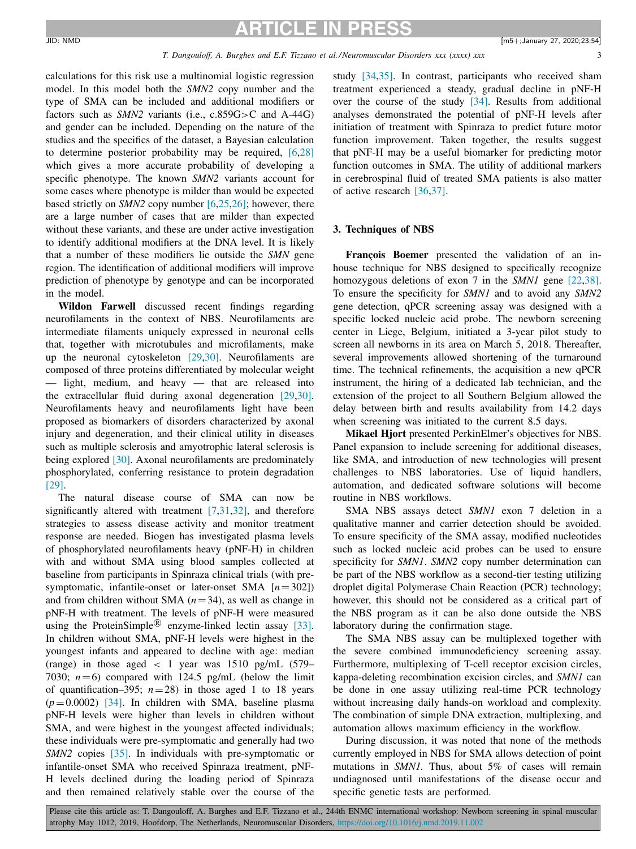calculations for this risk use a multinomial logistic regression model. In this model both the *SMN2* copy number and the type of SMA can be included and additional modifiers or factors such as *SMN2* variants (i.e., c.859G>C and A-44G) and gender can be included. Depending on the nature of the studies and the specifics of the dataset, a Bayesian calculation to determine posterior probability may be required, [\[6,28\]](#page-9-0) which gives a more accurate probability of developing a specific phenotype. The known *SMN2* variants account for some cases where phenotype is milder than would be expected based strictly on *SMN2* copy number [\[6,25,26\];](#page-9-0) however, there are a large number of cases that are milder than expected without these variants, and these are under active investigation to identify additional modifiers at the DNA level. It is likely that a number of these modifiers lie outside the *SMN* gene region. The identification of additional modifiers will improve prediction of phenotype by genotype and can be incorporated in the model.

**Wildon Farwell** discussed recent findings regarding neurofilaments in the context of NBS. Neurofilaments are intermediate filaments uniquely expressed in neuronal cells that, together with microtubules and microfilaments, make up the neuronal cytoskeleton [\[29,30\].](#page-9-0) Neurofilaments are composed of three proteins differentiated by molecular weight — light, medium, and heavy — that are released into the extracellular fluid during axonal degeneration [\[29,30\].](#page-9-0) Neurofilaments heavy and neurofilaments light have been proposed as biomarkers of disorders characterized by axonal injury and degeneration, and their clinical utility in diseases such as multiple sclerosis and amyotrophic lateral sclerosis is being explored [\[30\].](#page-9-0) Axonal neurofilaments are predominately phosphorylated, conferring resistance to protein degradation [\[29\].](#page-9-0)

The natural disease course of SMA can now be significantly altered with treatment [\[7,31,32\],](#page-9-0) and therefore strategies to assess disease activity and monitor treatment response are needed. Biogen has investigated plasma levels of phosphorylated neurofilaments heavy (pNF-H) in children with and without SMA using blood samples collected at baseline from participants in Spinraza clinical trials (with presymptomatic, infantile-onset or later-onset SMA [*n*=302]) and from children without SMA (*n*=34), as well as change in pNF-H with treatment. The levels of pNF-H were measured using the ProteinSimple<sup>®</sup> enzyme-linked lectin assay [\[33\].](#page-9-0) In children without SMA, pNF-H levels were highest in the youngest infants and appeared to decline with age: median (range) in those aged  $\langle 1 \rangle$  year was 1510 pg/mL (579– 7030;  $n=6$ ) compared with 124.5 pg/mL (below the limit of quantification–395;  $n=28$ ) in those aged 1 to 18 years  $(p=0.0002)$  [\[34\].](#page-9-0) In children with SMA, baseline plasma pNF-H levels were higher than levels in children without SMA, and were highest in the youngest affected individuals; these individuals were pre-symptomatic and generally had two *SMN2* copies [\[35\].](#page-10-0) In individuals with pre-symptomatic or infantile-onset SMA who received Spinraza treatment, pNF-H levels declined during the loading period of Spinraza and then remained relatively stable over the course of the

study [\[34,](#page-9-0)[35\].](#page-10-0) In contrast, participants who received sham treatment experienced a steady, gradual decline in pNF-H over the course of the study [\[34\].](#page-9-0) Results from additional analyses demonstrated the potential of pNF-H levels after initiation of treatment with Spinraza to predict future motor function improvement. Taken together, the results suggest that pNF-H may be a useful biomarker for predicting motor function outcomes in SMA. The utility of additional markers in cerebrospinal fluid of treated SMA patients is also matter of active research [\[36,37\].](#page-10-0)

#### **3. Techniques of NBS**

**François Boemer** presented the validation of an inhouse technique for NBS designed to specifically recognize homozygous deletions of exon 7 in the *SMN1* gene [\[22](#page-9-0)[,38\].](#page-10-0) To ensure the specificity for *SMN1* and to avoid any *SMN2* gene detection, qPCR screening assay was designed with a specific locked nucleic acid probe. The newborn screening center in Liege, Belgium, initiated a 3-year pilot study to screen all newborns in its area on March 5, 2018. Thereafter, several improvements allowed shortening of the turnaround time. The technical refinements, the acquisition a new qPCR instrument, the hiring of a dedicated lab technician, and the extension of the project to all Southern Belgium allowed the delay between birth and results availability from 14.2 days when screening was initiated to the current 8.5 days.

**Mikael Hjort** presented PerkinElmer's objectives for NBS. Panel expansion to include screening for additional diseases, like SMA, and introduction of new technologies will present challenges to NBS laboratories. Use of liquid handlers, automation, and dedicated software solutions will become routine in NBS workflows.

SMA NBS assays detect *SMN1* exon 7 deletion in a qualitative manner and carrier detection should be avoided. To ensure specificity of the SMA assay, modified nucleotides such as locked nucleic acid probes can be used to ensure specificity for *SMN1*. *SMN2* copy number determination can be part of the NBS workflow as a second-tier testing utilizing droplet digital Polymerase Chain Reaction (PCR) technology; however, this should not be considered as a critical part of the NBS program as it can be also done outside the NBS laboratory during the confirmation stage.

The SMA NBS assay can be multiplexed together with the severe combined immunodeficiency screening assay. Furthermore, multiplexing of T-cell receptor excision circles, kappa-deleting recombination excision circles, and *SMN1* can be done in one assay utilizing real-time PCR technology without increasing daily hands-on workload and complexity. The combination of simple DNA extraction, multiplexing, and automation allows maximum efficiency in the workflow.

During discussion, it was noted that none of the methods currently employed in NBS for SMA allows detection of point mutations in *SMN1.* Thus, about 5% of cases will remain undiagnosed until manifestations of the disease occur and specific genetic tests are performed.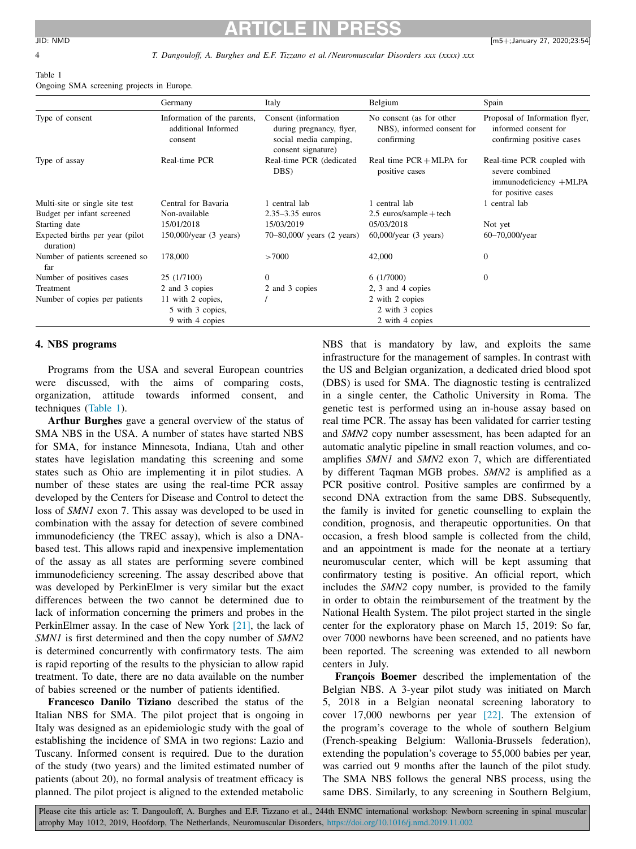# 4 *T. Dangouloff, A. Burghes and E.F. Tizzano et al./Neuromuscular Disorders xxx (xxxx) xxx*

**ARTICLE IN PRESS**

#### Table 1

Ongoing SMA screening projects in Europe.

|                                               | Germany                                                       | Italy                                                                                           | Belgium                                                              | Spain                                                                                         |
|-----------------------------------------------|---------------------------------------------------------------|-------------------------------------------------------------------------------------------------|----------------------------------------------------------------------|-----------------------------------------------------------------------------------------------|
| Type of consent                               | Information of the parents,<br>additional Informed<br>consent | Consent (information<br>during pregnancy, flyer,<br>social media camping,<br>consent signature) | No consent (as for other<br>NBS), informed consent for<br>confirming | Proposal of Information flyer,<br>informed consent for<br>confirming positive cases           |
| Type of assay                                 | Real-time PCR                                                 | Real-time PCR (dedicated<br>DBS)                                                                | Real time $PCR + MLPA$ for<br>positive cases                         | Real-time PCR coupled with<br>severe combined<br>immunodeficiency +MLPA<br>for positive cases |
| Multi-site or single site test                | Central for Bavaria                                           | 1 central lab                                                                                   | 1 central lab                                                        | 1 central lab                                                                                 |
| Budget per infant screened                    | Non-available                                                 | $2.35 - 3.35$ euros                                                                             | $2.5$ euros/sample + tech                                            |                                                                                               |
| Starting date                                 | 15/01/2018                                                    | 15/03/2019                                                                                      | 05/03/2018                                                           | Not yet                                                                                       |
| Expected births per year (pilot)<br>duration) | 150,000/year (3 years)                                        | 70-80,000/ years (2 years)                                                                      | $60,000$ /year (3 years)                                             | 60-70,000/year                                                                                |
| Number of patients screened so<br>far         | 178,000                                                       | >7000                                                                                           | 42,000                                                               | $\overline{0}$                                                                                |
| Number of positives cases                     | 25 (1/7100)                                                   | $\Omega$                                                                                        | 6(1/7000)                                                            | $\theta$                                                                                      |
| Treatment                                     | 2 and 3 copies                                                | 2 and 3 copies                                                                                  | 2, 3 and 4 copies                                                    |                                                                                               |
| Number of copies per patients                 | 11 with 2 copies,                                             |                                                                                                 | 2 with 2 copies                                                      |                                                                                               |
|                                               | 5 with 3 copies,                                              |                                                                                                 | 2 with 3 copies                                                      |                                                                                               |
|                                               | 9 with 4 copies                                               |                                                                                                 | 2 with 4 copies                                                      |                                                                                               |

#### **4. NBS programs**

Programs from the USA and several European countries were discussed, with the aims of comparing costs, organization, attitude towards informed consent, and techniques (Table 1).

**Arthur Burghes** gave a general overview of the status of SMA NBS in the USA. A number of states have started NBS for SMA, for instance Minnesota, Indiana, Utah and other states have legislation mandating this screening and some states such as Ohio are implementing it in pilot studies. A number of these states are using the real-time PCR assay developed by the Centers for Disease and Control to detect the loss of *SMN1* exon 7. This assay was developed to be used in combination with the assay for detection of severe combined immunodeficiency (the TREC assay), which is also a DNAbased test. This allows rapid and inexpensive implementation of the assay as all states are performing severe combined immunodeficiency screening. The assay described above that was developed by PerkinElmer is very similar but the exact differences between the two cannot be determined due to lack of information concerning the primers and probes in the PerkinElmer assay. In the case of New York [\[21\],](#page-9-0) the lack of *SMN1* is first determined and then the copy number of *SMN2* is determined concurrently with confirmatory tests. The aim is rapid reporting of the results to the physician to allow rapid treatment. To date, there are no data available on the number of babies screened or the number of patients identified.

**Francesco Danilo Tiziano** described the status of the Italian NBS for SMA. The pilot project that is ongoing in Italy was designed as an epidemiologic study with the goal of establishing the incidence of SMA in two regions: Lazio and Tuscany. Informed consent is required. Due to the duration of the study (two years) and the limited estimated number of patients (about 20), no formal analysis of treatment efficacy is planned. The pilot project is aligned to the extended metabolic NBS that is mandatory by law, and exploits the same infrastructure for the management of samples. In contrast with the US and Belgian organization, a dedicated dried blood spot (DBS) is used for SMA. The diagnostic testing is centralized in a single center, the Catholic University in Roma. The genetic test is performed using an in-house assay based on real time PCR. The assay has been validated for carrier testing and *SMN2* copy number assessment, has been adapted for an automatic analytic pipeline in small reaction volumes, and coamplifies *SMN1* and *SMN2* exon 7, which are differentiated by different Taqman MGB probes. *SMN2* is amplified as a PCR positive control. Positive samples are confirmed by a second DNA extraction from the same DBS. Subsequently, the family is invited for genetic counselling to explain the condition, prognosis, and therapeutic opportunities. On that occasion, a fresh blood sample is collected from the child, and an appointment is made for the neonate at a tertiary neuromuscular center, which will be kept assuming that confirmatory testing is positive. An official report, which includes the *SMN2* copy number, is provided to the family in order to obtain the reimbursement of the treatment by the National Health System. The pilot project started in the single center for the exploratory phase on March 15, 2019: So far, over 7000 newborns have been screened, and no patients have been reported. The screening was extended to all newborn centers in July.

**François Boemer** described the implementation of the Belgian NBS. A 3-year pilot study was initiated on March 5, 2018 in a Belgian neonatal screening laboratory to cover 17,000 newborns per year [\[22\].](#page-9-0) The extension of the program's coverage to the whole of southern Belgium (French-speaking Belgium: Wallonia-Brussels federation), extending the population's coverage to 55,000 babies per year, was carried out 9 months after the launch of the pilot study. The SMA NBS follows the general NBS process, using the same DBS. Similarly, to any screening in Southern Belgium,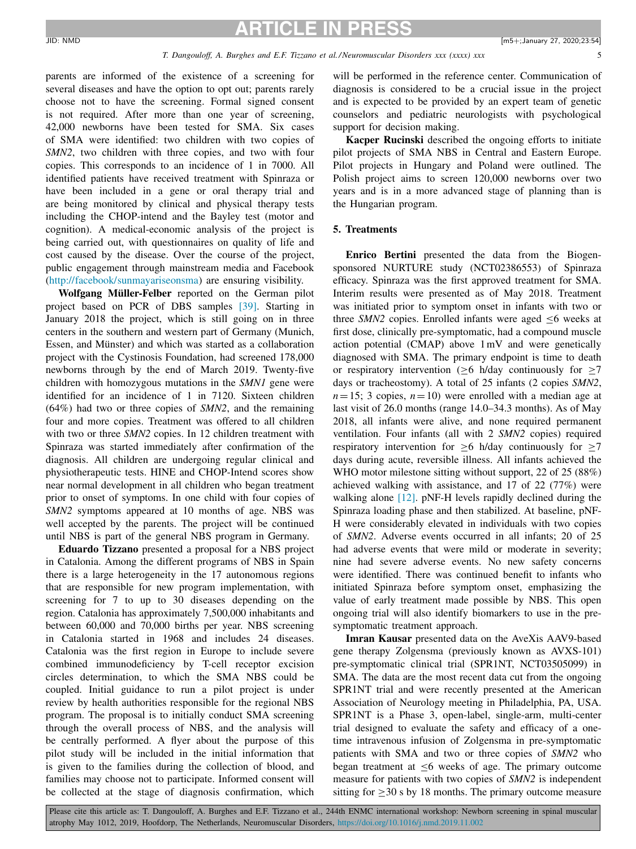parents are informed of the existence of a screening for several diseases and have the option to opt out; parents rarely choose not to have the screening. Formal signed consent is not required. After more than one year of screening, 42,000 newborns have been tested for SMA. Six cases of SMA were identified: two children with two copies of *SMN2*, two children with three copies, and two with four copies. This corresponds to an incidence of 1 in 7000. All identified patients have received treatment with Spinraza or have been included in a gene or oral therapy trial and are being monitored by clinical and physical therapy tests including the CHOP-intend and the Bayley test (motor and cognition). A medical-economic analysis of the project is being carried out, with questionnaires on quality of life and cost caused by the disease. Over the course of the project, public engagement through mainstream media and Facebook [\(http://facebook/sunmayariseonsma\)](http://www.facebook/sunmayariseonsma) are ensuring visibility.

**Wolfgang Müller-Felber** reported on the German pilot project based on PCR of DBS samples [\[39\].](#page-10-0) Starting in January 2018 the project, which is still going on in three centers in the southern and western part of Germany (Munich, Essen, and Münster) and which was started as a collaboration project with the Cystinosis Foundation, had screened 178,000 newborns through by the end of March 2019. Twenty-five children with homozygous mutations in the *SMN1* gene were identified for an incidence of 1 in 7120. Sixteen children (64%) had two or three copies of *SMN2*, and the remaining four and more copies. Treatment was offered to all children with two or three *SMN2* copies. In 12 children treatment with Spinraza was started immediately after confirmation of the diagnosis. All children are undergoing regular clinical and physiotherapeutic tests. HINE and CHOP-Intend scores show near normal development in all children who began treatment prior to onset of symptoms. In one child with four copies of *SMN2* symptoms appeared at 10 months of age. NBS was well accepted by the parents. The project will be continued until NBS is part of the general NBS program in Germany.

**Eduardo Tizzano** presented a proposal for a NBS project in Catalonia. Among the different programs of NBS in Spain there is a large heterogeneity in the 17 autonomous regions that are responsible for new program implementation, with screening for 7 to up to 30 diseases depending on the region. Catalonia has approximately 7,500,000 inhabitants and between 60,000 and 70,000 births per year. NBS screening in Catalonia started in 1968 and includes 24 diseases. Catalonia was the first region in Europe to include severe combined immunodeficiency by T-cell receptor excision circles determination, to which the SMA NBS could be coupled. Initial guidance to run a pilot project is under review by health authorities responsible for the regional NBS program. The proposal is to initially conduct SMA screening through the overall process of NBS, and the analysis will be centrally performed. A flyer about the purpose of this pilot study will be included in the initial information that is given to the families during the collection of blood, and families may choose not to participate. Informed consent will be collected at the stage of diagnosis confirmation, which

will be performed in the reference center. Communication of diagnosis is considered to be a crucial issue in the project and is expected to be provided by an expert team of genetic counselors and pediatric neurologists with psychological support for decision making.

**Kacper Rucinski** described the ongoing efforts to initiate pilot projects of SMA NBS in Central and Eastern Europe. Pilot projects in Hungary and Poland were outlined. The Polish project aims to screen 120,000 newborns over two years and is in a more advanced stage of planning than is the Hungarian program.

#### **5. Treatments**

**Enrico Bertini** presented the data from the Biogensponsored NURTURE study (NCT02386553) of Spinraza efficacy. Spinraza was the first approved treatment for SMA. Interim results were presented as of May 2018. Treatment was initiated prior to symptom onset in infants with two or three *SMN2* copies. Enrolled infants were aged  $\leq 6$  weeks at first dose, clinically pre-symptomatic, had a compound muscle action potential (CMAP) above 1mV and were genetically diagnosed with SMA. The primary endpoint is time to death or respiratory intervention ( $>6$  h/day continuously for  $>7$ days or tracheostomy). A total of 25 infants (2 copies *SMN2*,  $n=15$ ; 3 copies,  $n=10$ ) were enrolled with a median age at last visit of 26.0 months (range 14.0–34.3 months). As of May 2018, all infants were alive, and none required permanent ventilation. Four infants (all with 2 *SMN2* copies) required respiratory intervention for ≥6 h/day continuously for ≥7 days during acute, reversible illness. All infants achieved the WHO motor milestone sitting without support, 22 of 25 (88%) achieved walking with assistance, and 17 of 22 (77%) were walking alone [\[12\].](#page-9-0) pNF-H levels rapidly declined during the Spinraza loading phase and then stabilized. At baseline, pNF-H were considerably elevated in individuals with two copies of *SMN2*. Adverse events occurred in all infants; 20 of 25 had adverse events that were mild or moderate in severity; nine had severe adverse events. No new safety concerns were identified. There was continued benefit to infants who initiated Spinraza before symptom onset, emphasizing the value of early treatment made possible by NBS. This open ongoing trial will also identify biomarkers to use in the presymptomatic treatment approach.

**Imran Kausar** presented data on the AveXis AAV9-based gene therapy Zolgensma (previously known as AVXS-101) pre-symptomatic clinical trial (SPR1NT, NCT03505099) in SMA. The data are the most recent data cut from the ongoing SPR1NT trial and were recently presented at the American Association of Neurology meeting in Philadelphia, PA, USA. SPR1NT is a Phase 3, open-label, single-arm, multi-center trial designed to evaluate the safety and efficacy of a onetime intravenous infusion of Zolgensma in pre-symptomatic patients with SMA and two or three copies of *SMN2* who began treatment at ≤6 weeks of age. The primary outcome measure for patients with two copies of *SMN2* is independent sitting for  $>$ 30 s by 18 months. The primary outcome measure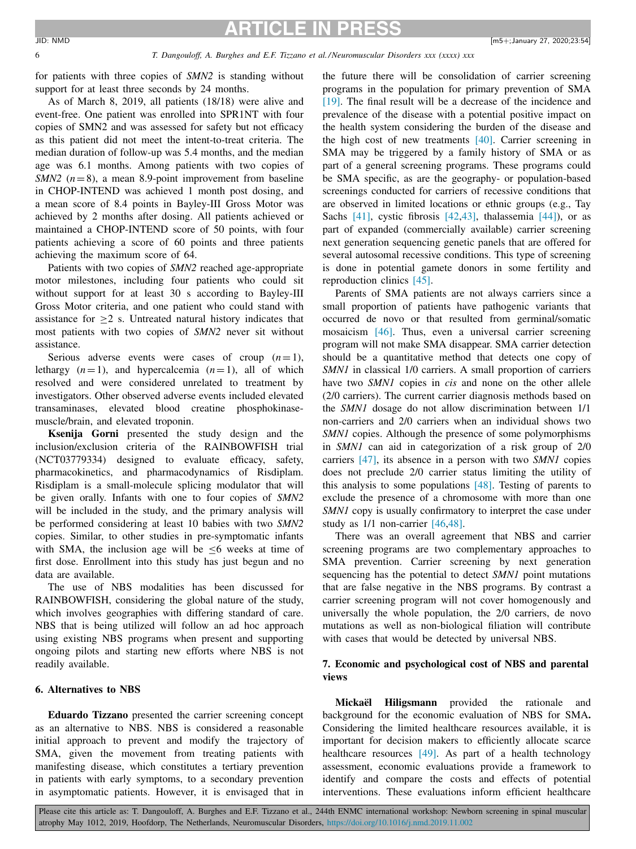#### 6 *T. Dangouloff, A. Burghes and E.F. Tizzano et al./Neuromuscular Disorders xxx (xxxx) xxx*

for patients with three copies of *SMN2* is standing without support for at least three seconds by 24 months.

As of March 8, 2019, all patients (18/18) were alive and event-free. One patient was enrolled into SPR1NT with four copies of SMN2 and was assessed for safety but not efficacy as this patient did not meet the intent-to-treat criteria. The median duration of follow-up was 5.4 months, and the median age was 6.1 months. Among patients with two copies of *SMN2*  $(n=8)$ , a mean 8.9-point improvement from baseline in CHOP-INTEND was achieved 1 month post dosing, and a mean score of 8.4 points in Bayley-III Gross Motor was achieved by 2 months after dosing. All patients achieved or maintained a CHOP-INTEND score of 50 points, with four patients achieving a score of 60 points and three patients achieving the maximum score of 64.

Patients with two copies of *SMN2* reached age-appropriate motor milestones, including four patients who could sit without support for at least 30 s according to Bayley-III Gross Motor criteria, and one patient who could stand with assistance for  $\geq 2$  s. Untreated natural history indicates that most patients with two copies of *SMN2* never sit without assistance.

Serious adverse events were cases of croup  $(n=1)$ , lethargy  $(n=1)$ , and hypercalcemia  $(n=1)$ , all of which resolved and were considered unrelated to treatment by investigators. Other observed adverse events included elevated transaminases, elevated blood creatine phosphokinasemuscle/brain, and elevated troponin.

**Ksenija Gorni** presented the study design and the inclusion/exclusion criteria of the RAINBOWFISH trial (NCT03779334) designed to evaluate efficacy, safety, pharmacokinetics, and pharmacodynamics of Risdiplam. Risdiplam is a small-molecule splicing modulator that will be given orally. Infants with one to four copies of *SMN2* will be included in the study, and the primary analysis will be performed considering at least 10 babies with two *SMN2* copies. Similar, to other studies in pre-symptomatic infants with SMA, the inclusion age will be  $\leq 6$  weeks at time of first dose. Enrollment into this study has just begun and no data are available.

The use of NBS modalities has been discussed for RAINBOWFISH, considering the global nature of the study, which involves geographies with differing standard of care. NBS that is being utilized will follow an ad hoc approach using existing NBS programs when present and supporting ongoing pilots and starting new efforts where NBS is not readily available.

#### **6. Alternatives to NBS**

**Eduardo Tizzano** presented the carrier screening concept as an alternative to NBS. NBS is considered a reasonable initial approach to prevent and modify the trajectory of SMA, given the movement from treating patients with manifesting disease, which constitutes a tertiary prevention in patients with early symptoms, to a secondary prevention in asymptomatic patients. However, it is envisaged that in the future there will be consolidation of carrier screening programs in the population for primary prevention of SMA [\[19\].](#page-9-0) The final result will be a decrease of the incidence and prevalence of the disease with a potential positive impact on the health system considering the burden of the disease and the high cost of new treatments [\[40\].](#page-10-0) Carrier screening in SMA may be triggered by a family history of SMA or as part of a general screening programs. These programs could be SMA specific, as are the geography- or population-based screenings conducted for carriers of recessive conditions that are observed in limited locations or ethnic groups (e.g., Tay Sachs [\[41\],](#page-10-0) cystic fibrosis [\[42,43\],](#page-10-0) thalassemia [\[44\]\)](#page-10-0), or as part of expanded (commercially available) carrier screening next generation sequencing genetic panels that are offered for several autosomal recessive conditions. This type of screening is done in potential gamete donors in some fertility and reproduction clinics [\[45\].](#page-10-0)

Parents of SMA patients are not always carriers since a small proportion of patients have pathogenic variants that occurred de novo or that resulted from germinal/somatic mosaicism [\[46\].](#page-10-0) Thus, even a universal carrier screening program will not make SMA disappear. SMA carrier detection should be a quantitative method that detects one copy of *SMN1* in classical 1/0 carriers. A small proportion of carriers have two *SMN1* copies in *cis* and none on the other allele (2/0 carriers). The current carrier diagnosis methods based on the *SMN1* dosage do not allow discrimination between 1/1 non-carriers and 2/0 carriers when an individual shows two *SMN1* copies. Although the presence of some polymorphisms in *SMN1* can aid in categorization of a risk group of 2/0 carriers [\[47\],](#page-10-0) its absence in a person with two *SMN1* copies does not preclude 2/0 carrier status limiting the utility of this analysis to some populations [\[48\].](#page-10-0) Testing of parents to exclude the presence of a chromosome with more than one *SMN1* copy is usually confirmatory to interpret the case under study as 1/1 non-carrier [\[46,48\].](#page-10-0)

There was an overall agreement that NBS and carrier screening programs are two complementary approaches to SMA prevention. Carrier screening by next generation sequencing has the potential to detect *SMN1* point mutations that are false negative in the NBS programs. By contrast a carrier screening program will not cover homogenously and universally the whole population, the 2/0 carriers, de novo mutations as well as non-biological filiation will contribute with cases that would be detected by universal NBS.

### **7. Economic and psychological cost of NBS and parental views**

**Mickaël Hiligsmann** provided the rationale and background for the economic evaluation of NBS for SMA**.** Considering the limited healthcare resources available, it is important for decision makers to efficiently allocate scarce healthcare resources [\[49\].](#page-10-0) As part of a health technology assessment, economic evaluations provide a framework to identify and compare the costs and effects of potential interventions. These evaluations inform efficient healthcare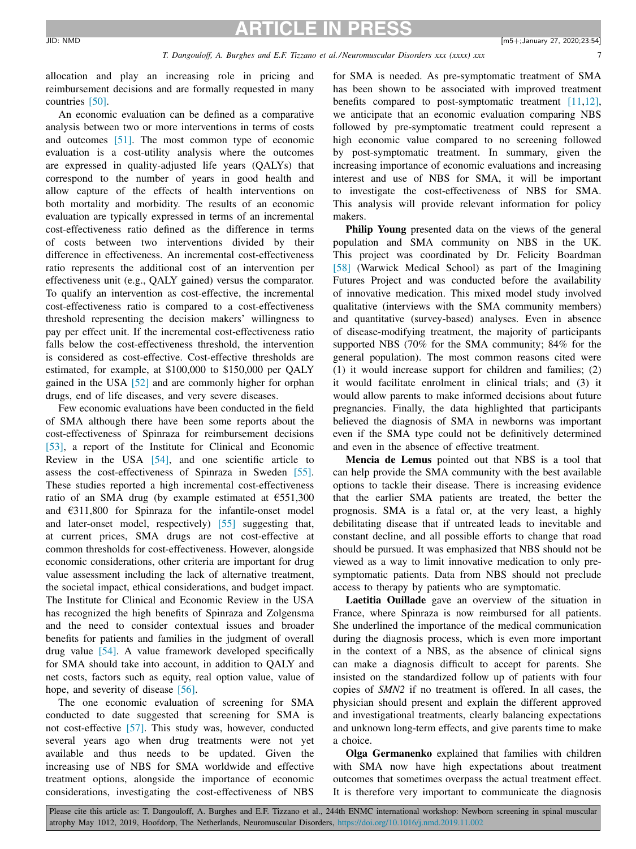allocation and play an increasing role in pricing and reimbursement decisions and are formally requested in many countries [\[50\].](#page-10-0)

An economic evaluation can be defined as a comparative analysis between two or more interventions in terms of costs and outcomes [\[51\].](#page-10-0) The most common type of economic evaluation is a cost-utility analysis where the outcomes are expressed in quality-adjusted life years (QALYs) that correspond to the number of years in good health and allow capture of the effects of health interventions on both mortality and morbidity. The results of an economic evaluation are typically expressed in terms of an incremental cost-effectiveness ratio defined as the difference in terms of costs between two interventions divided by their difference in effectiveness. An incremental cost-effectiveness ratio represents the additional cost of an intervention per effectiveness unit (e.g., QALY gained) versus the comparator. To qualify an intervention as cost-effective, the incremental cost-effectiveness ratio is compared to a cost-effectiveness threshold representing the decision makers' willingness to pay per effect unit. If the incremental cost-effectiveness ratio falls below the cost-effectiveness threshold, the intervention is considered as cost-effective. Cost-effective thresholds are estimated, for example, at \$100,000 to \$150,000 per QALY gained in the USA [\[52\]](#page-10-0) and are commonly higher for orphan drugs, end of life diseases, and very severe diseases.

Few economic evaluations have been conducted in the field of SMA although there have been some reports about the cost-effectiveness of Spinraza for reimbursement decisions [\[53\],](#page-10-0) a report of the Institute for Clinical and Economic Review in the USA [\[54\],](#page-10-0) and one scientific article to assess the cost-effectiveness of Spinraza in Sweden [\[55\].](#page-10-0) These studies reported a high incremental cost-effectiveness ratio of an SMA drug (by example estimated at  $€551,300$ and €311,800 for Spinraza for the infantile-onset model and later-onset model, respectively) [\[55\]](#page-10-0) suggesting that, at current prices, SMA drugs are not cost-effective at common thresholds for cost-effectiveness. However, alongside economic considerations, other criteria are important for drug value assessment including the lack of alternative treatment, the societal impact, ethical considerations, and budget impact. The Institute for Clinical and Economic Review in the USA has recognized the high benefits of Spinraza and Zolgensma and the need to consider contextual issues and broader benefits for patients and families in the judgment of overall drug value [\[54\].](#page-10-0) A value framework developed specifically for SMA should take into account, in addition to QALY and net costs, factors such as equity, real option value, value of hope, and severity of disease [\[56\].](#page-10-0)

The one economic evaluation of screening for SMA conducted to date suggested that screening for SMA is not cost-effective [\[57\].](#page-10-0) This study was, however, conducted several years ago when drug treatments were not yet available and thus needs to be updated. Given the increasing use of NBS for SMA worldwide and effective treatment options, alongside the importance of economic considerations, investigating the cost-effectiveness of NBS

for SMA is needed. As pre-symptomatic treatment of SMA has been shown to be associated with improved treatment benefits compared to post-symptomatic treatment  $[11,12]$ , we anticipate that an economic evaluation comparing NBS followed by pre-symptomatic treatment could represent a high economic value compared to no screening followed by post-symptomatic treatment. In summary, given the increasing importance of economic evaluations and increasing interest and use of NBS for SMA, it will be important to investigate the cost-effectiveness of NBS for SMA. This analysis will provide relevant information for policy makers.

**Philip Young** presented data on the views of the general population and SMA community on NBS in the UK. This project was coordinated by Dr. Felicity Boardman [\[58\]](#page-10-0) (Warwick Medical School) as part of the Imagining Futures Project and was conducted before the availability of innovative medication. This mixed model study involved qualitative (interviews with the SMA community members) and quantitative (survey-based) analyses. Even in absence of disease-modifying treatment, the majority of participants supported NBS (70% for the SMA community; 84% for the general population). The most common reasons cited were (1) it would increase support for children and families; (2) it would facilitate enrolment in clinical trials; and (3) it would allow parents to make informed decisions about future pregnancies. Finally, the data highlighted that participants believed the diagnosis of SMA in newborns was important even if the SMA type could not be definitively determined and even in the absence of effective treatment.

**Mencia de Lemus** pointed out that NBS is a tool that can help provide the SMA community with the best available options to tackle their disease. There is increasing evidence that the earlier SMA patients are treated, the better the prognosis. SMA is a fatal or, at the very least, a highly debilitating disease that if untreated leads to inevitable and constant decline, and all possible efforts to change that road should be pursued. It was emphasized that NBS should not be viewed as a way to limit innovative medication to only presymptomatic patients. Data from NBS should not preclude access to therapy by patients who are symptomatic.

**Laetitia Ouillade** gave an overview of the situation in France, where Spinraza is now reimbursed for all patients. She underlined the importance of the medical communication during the diagnosis process, which is even more important in the context of a NBS, as the absence of clinical signs can make a diagnosis difficult to accept for parents. She insisted on the standardized follow up of patients with four copies of *SMN2* if no treatment is offered. In all cases, the physician should present and explain the different approved and investigational treatments, clearly balancing expectations and unknown long-term effects, and give parents time to make a choice.

**Olga Germanenko** explained that families with children with SMA now have high expectations about treatment outcomes that sometimes overpass the actual treatment effect. It is therefore very important to communicate the diagnosis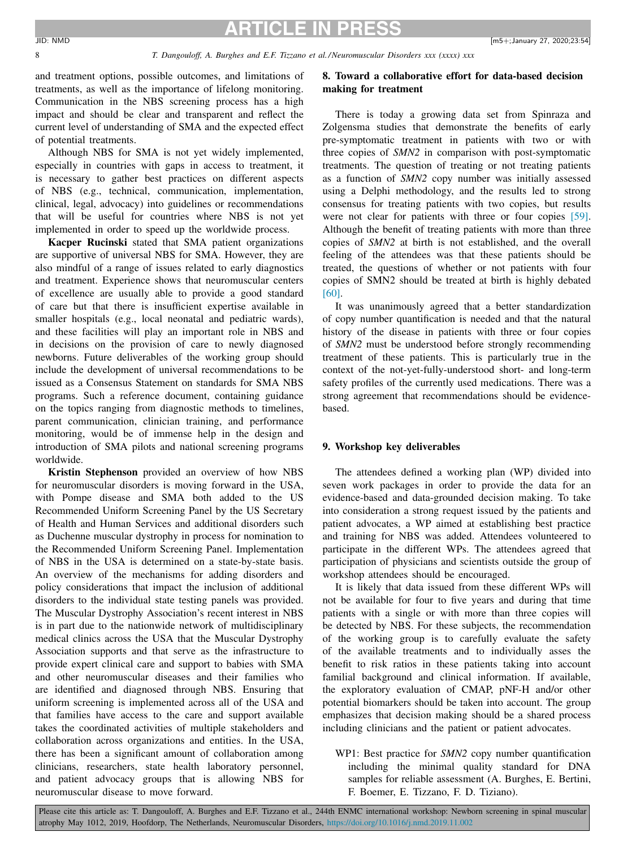8 *T. Dangouloff, A. Burghes and E.F. Tizzano et al./Neuromuscular Disorders xxx (xxxx) xxx*

and treatment options, possible outcomes, and limitations of treatments, as well as the importance of lifelong monitoring. Communication in the NBS screening process has a high impact and should be clear and transparent and reflect the current level of understanding of SMA and the expected effect of potential treatments.

Although NBS for SMA is not yet widely implemented, especially in countries with gaps in access to treatment, it is necessary to gather best practices on different aspects of NBS (e.g., technical, communication, implementation, clinical, legal, advocacy) into guidelines or recommendations that will be useful for countries where NBS is not yet implemented in order to speed up the worldwide process.

**Kacper Rucinski** stated that SMA patient organizations are supportive of universal NBS for SMA. However, they are also mindful of a range of issues related to early diagnostics and treatment. Experience shows that neuromuscular centers of excellence are usually able to provide a good standard of care but that there is insufficient expertise available in smaller hospitals (e.g., local neonatal and pediatric wards), and these facilities will play an important role in NBS and in decisions on the provision of care to newly diagnosed newborns. Future deliverables of the working group should include the development of universal recommendations to be issued as a Consensus Statement on standards for SMA NBS programs. Such a reference document, containing guidance on the topics ranging from diagnostic methods to timelines, parent communication, clinician training, and performance monitoring, would be of immense help in the design and introduction of SMA pilots and national screening programs worldwide.

**Kristin Stephenson** provided an overview of how NBS for neuromuscular disorders is moving forward in the USA, with Pompe disease and SMA both added to the US Recommended Uniform Screening Panel by the US Secretary of Health and Human Services and additional disorders such as Duchenne muscular dystrophy in process for nomination to the Recommended Uniform Screening Panel. Implementation of NBS in the USA is determined on a state-by-state basis. An overview of the mechanisms for adding disorders and policy considerations that impact the inclusion of additional disorders to the individual state testing panels was provided. The Muscular Dystrophy Association's recent interest in NBS is in part due to the nationwide network of multidisciplinary medical clinics across the USA that the Muscular Dystrophy Association supports and that serve as the infrastructure to provide expert clinical care and support to babies with SMA and other neuromuscular diseases and their families who are identified and diagnosed through NBS. Ensuring that uniform screening is implemented across all of the USA and that families have access to the care and support available takes the coordinated activities of multiple stakeholders and collaboration across organizations and entities. In the USA, there has been a significant amount of collaboration among clinicians, researchers, state health laboratory personnel, and patient advocacy groups that is allowing NBS for neuromuscular disease to move forward.

## **8. Toward a collaborative effort for data-based decision making for treatment**

There is today a growing data set from Spinraza and Zolgensma studies that demonstrate the benefits of early pre-symptomatic treatment in patients with two or with three copies of *SMN2* in comparison with post-symptomatic treatments. The question of treating or not treating patients as a function of *SMN2* copy number was initially assessed using a Delphi methodology, and the results led to strong consensus for treating patients with two copies, but results were not clear for patients with three or four copies [\[59\].](#page-10-0) Although the benefit of treating patients with more than three copies of *SMN2* at birth is not established, and the overall feeling of the attendees was that these patients should be treated, the questions of whether or not patients with four copies of SMN2 should be treated at birth is highly debated [\[60\].](#page-10-0)

It was unanimously agreed that a better standardization of copy number quantification is needed and that the natural history of the disease in patients with three or four copies of *SMN2* must be understood before strongly recommending treatment of these patients. This is particularly true in the context of the not-yet-fully-understood short- and long-term safety profiles of the currently used medications. There was a strong agreement that recommendations should be evidencebased.

### **9. Workshop key deliverables**

The attendees defined a working plan (WP) divided into seven work packages in order to provide the data for an evidence-based and data-grounded decision making. To take into consideration a strong request issued by the patients and patient advocates, a WP aimed at establishing best practice and training for NBS was added. Attendees volunteered to participate in the different WPs. The attendees agreed that participation of physicians and scientists outside the group of workshop attendees should be encouraged.

It is likely that data issued from these different WPs will not be available for four to five years and during that time patients with a single or with more than three copies will be detected by NBS. For these subjects, the recommendation of the working group is to carefully evaluate the safety of the available treatments and to individually asses the benefit to risk ratios in these patients taking into account familial background and clinical information. If available, the exploratory evaluation of CMAP, pNF-H and/or other potential biomarkers should be taken into account. The group emphasizes that decision making should be a shared process including clinicians and the patient or patient advocates.

WP1: Best practice for *SMN2* copy number quantification including the minimal quality standard for DNA samples for reliable assessment (A. Burghes, E. Bertini, F. Boemer, E. Tizzano, F. D. Tiziano).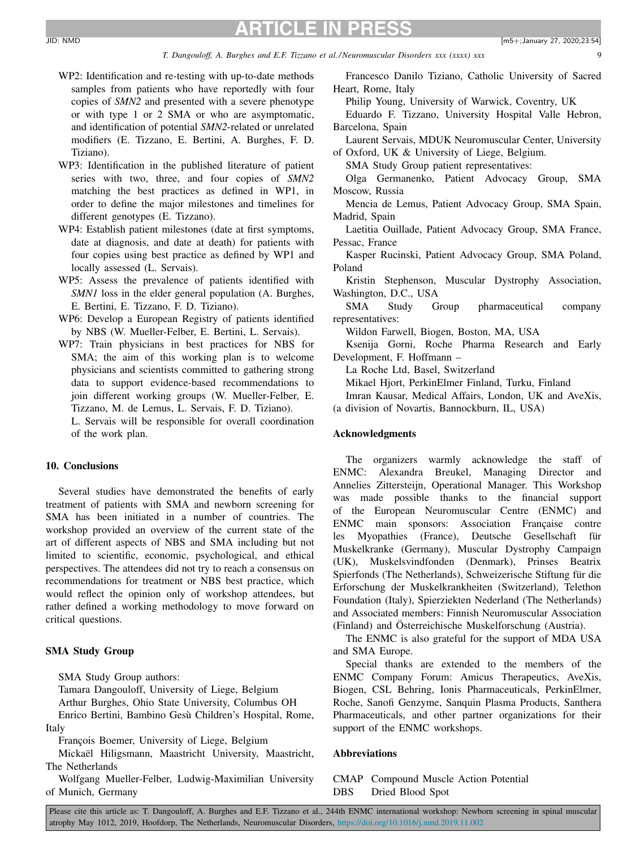- WP2: Identification and re-testing with up-to-date methods samples from patients who have reportedly with four copies of *SMN2* and presented with a severe phenotype or with type 1 or 2 SMA or who are asymptomatic, and identification of potential *SMN2*-related or unrelated modifiers (E. Tizzano, E. Bertini, A. Burghes, F. D. Tiziano).
- WP3: Identification in the published literature of patient series with two, three, and four copies of *SMN2* matching the best practices as defined in WP1, in order to define the major milestones and timelines for different genotypes (E. Tizzano).
- WP4: Establish patient milestones (date at first symptoms, date at diagnosis, and date at death) for patients with four copies using best practice as defined by WP1 and locally assessed (L. Servais).
- WP5: Assess the prevalence of patients identified with *SMN1* loss in the elder general population (A. Burghes, E. Bertini, E. Tizzano, F. D. Tiziano).
- WP6: Develop a European Registry of patients identified by NBS (W. Mueller-Felber, E. Bertini, L. Servais).
- WP7: Train physicians in best practices for NBS for SMA; the aim of this working plan is to welcome physicians and scientists committed to gathering strong data to support evidence-based recommendations to join different working groups (W. Mueller-Felber, E. Tizzano, M. de Lemus, L. Servais, F. D. Tiziano). L. Servais will be responsible for overall coordination of the work plan.

#### **10. Conclusions**

Several studies have demonstrated the benefits of early treatment of patients with SMA and newborn screening for SMA has been initiated in a number of countries. The workshop provided an overview of the current state of the art of different aspects of NBS and SMA including but not limited to scientific, economic, psychological, and ethical perspectives. The attendees did not try to reach a consensus on recommendations for treatment or NBS best practice, which would reflect the opinion only of workshop attendees, but rather defined a working methodology to move forward on critical questions.

### **SMA Study Group**

SMA Study Group authors:

Tamara Dangouloff, University of Liege, Belgium

Arthur Burghes, Ohio State University, Columbus OH Enrico Bertini, Bambino Gesù Children's Hospital, Rome, Italy

François Boemer, University of Liege, Belgium

Mickaël Hiligsmann, Maastricht University, Maastricht, The Netherlands

Wolfgang Mueller-Felber, Ludwig-Maximilian University of Munich, Germany

Francesco Danilo Tiziano, Catholic University of Sacred Heart, Rome, Italy

Philip Young, University of Warwick, Coventry, UK

Eduardo F. Tizzano, University Hospital Valle Hebron, Barcelona, Spain

Laurent Servais, MDUK Neuromuscular Center, University of Oxford, UK & University of Liege, Belgium.

SMA Study Group patient representatives:

Olga Germanenko, Patient Advocacy Group, SMA Moscow, Russia

Mencia de Lemus, Patient Advocacy Group, SMA Spain, Madrid, Spain

Laetitia Ouillade, Patient Advocacy Group, SMA France, Pessac, France

Kasper Rucinski, Patient Advocacy Group, SMA Poland, Poland

Kristin Stephenson, Muscular Dystrophy Association, Washington, D.C., USA

SMA Study Group pharmaceutical company representatives:

Wildon Farwell, Biogen, Boston, MA, USA

Ksenija Gorni, Roche Pharma Research and Early Development, F. Hoffmann –

La Roche Ltd, Basel, Switzerland

Mikael Hjort, PerkinElmer Finland, Turku, Finland

Imran Kausar, Medical Affairs, London, UK and AveXis,

(a division of Novartis, Bannockburn, IL, USA)

#### **Acknowledgments**

The organizers warmly acknowledge the staff of ENMC: Alexandra Breukel, Managing Director and Annelies Zittersteijn, Operational Manager. This Workshop was made possible thanks to the financial support of the European Neuromuscular Centre (ENMC) and ENMC main sponsors: Association Française contre les Myopathies (France), Deutsche Gesellschaft für Muskelkranke (Germany), Muscular Dystrophy Campaign (UK), Muskelsvindfonden (Denmark), Prinses Beatrix Spierfonds (The Netherlands), Schweizerische Stiftung für die Erforschung der Muskelkrankheiten (Switzerland), Telethon Foundation (Italy), Spierziekten Nederland (The Netherlands) and Associated members: Finnish Neuromuscular Association (Finland) and Österreichische Muskelforschung (Austria).

The ENMC is also grateful for the support of MDA USA and SMA Europe.

Special thanks are extended to the members of the ENMC Company Forum: Amicus Therapeutics, AveXis, Biogen, CSL Behring, Ionis Pharmaceuticals, PerkinElmer, Roche, Sanofi Genzyme, Sanquin Plasma Products, Santhera Pharmaceuticals, and other partner organizations for their support of the ENMC workshops.

#### **Abbreviations**

CMAP Compound Muscle Action Potential DBS Dried Blood Spot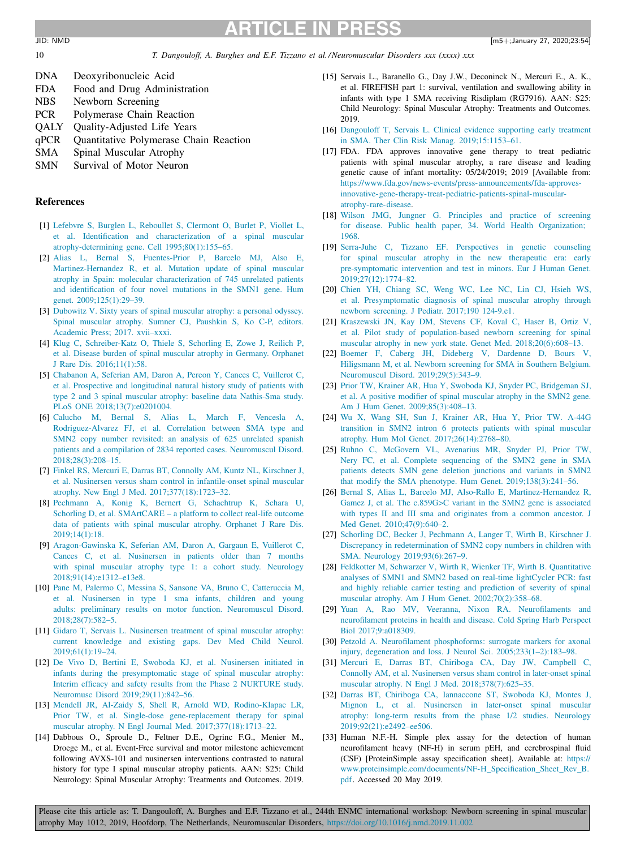<span id="page-9-0"></span>

# **ARTICLE IN PRESS**

10 *T. Dangouloff, A. Burghes and E.F. Tizzano et al./Neuromuscular Disorders xxx (xxxx) xxx*

- DNA Deoxyribonucleic Acid
- FDA Food and Drug Administration
- NBS Newborn Screening
- PCR Polymerase Chain Reaction
- QALY Quality-Adjusted Life Years
- qPCR Quantitative Polymerase Chain Reaction
- SMA Spinal Muscular Atrophy
- SMN Survival of Motor Neuron

### **References**

- [1] [Lefebvre](http://refhub.elsevier.com/S0960-8966(19)31171-X/sbref0001) S, [Burglen](http://refhub.elsevier.com/S0960-8966(19)31171-X/sbref0001) L, [Reboullet](http://refhub.elsevier.com/S0960-8966(19)31171-X/sbref0001) S, [Clermont](http://refhub.elsevier.com/S0960-8966(19)31171-X/sbref0001) O, [Burlet](http://refhub.elsevier.com/S0960-8966(19)31171-X/sbref0001) P, [Viollet](http://refhub.elsevier.com/S0960-8966(19)31171-X/sbref0001) L, et [al.](http://refhub.elsevier.com/S0960-8966(19)31171-X/sbref0001) Identification and characterization of a spinal muscular [atrophy-determining](http://refhub.elsevier.com/S0960-8966(19)31171-X/sbref0001) gene. Cell 1995;80(1):155–65.
- [2] [Alias](http://refhub.elsevier.com/S0960-8966(19)31171-X/sbref0002) L, [Bernal](http://refhub.elsevier.com/S0960-8966(19)31171-X/sbref0002) S, [Fuentes-Prior](http://refhub.elsevier.com/S0960-8966(19)31171-X/sbref0002) P, [Barcelo](http://refhub.elsevier.com/S0960-8966(19)31171-X/sbref0002) MJ, [Also](http://refhub.elsevier.com/S0960-8966(19)31171-X/sbref0002) E, [Martinez-Hernandez](http://refhub.elsevier.com/S0960-8966(19)31171-X/sbref0002) R, et [al.](http://refhub.elsevier.com/S0960-8966(19)31171-X/sbref0002) Mutation update of spinal muscular atrophy in Spain: molecular characterization of 745 unrelated patients and identification of four novel mutations in the SMN1 gene. Hum genet. 2009;125(1):29–39.
- [3] [Dubowitz](http://refhub.elsevier.com/S0960-8966(19)31171-X/sbref0003) V. Sixty years of spinal muscular atrophy: a personal odyssey. Spinal muscular atrophy. Sumner CJ, Paushkin S, Ko C-P, editors. Academic Press; 2017. [xvii–xxxi.](http://refhub.elsevier.com/S0960-8966(19)31171-X/sbref0003)
- [4] [Klug](http://refhub.elsevier.com/S0960-8966(19)31171-X/sbref0004) C, [Schreiber-Katz](http://refhub.elsevier.com/S0960-8966(19)31171-X/sbref0004) O, [Thiele](http://refhub.elsevier.com/S0960-8966(19)31171-X/sbref0004) S, [Schorling](http://refhub.elsevier.com/S0960-8966(19)31171-X/sbref0004) E, [Zowe](http://refhub.elsevier.com/S0960-8966(19)31171-X/sbref0004) J, [Reilich](http://refhub.elsevier.com/S0960-8966(19)31171-X/sbref0004) P, et [al.](http://refhub.elsevier.com/S0960-8966(19)31171-X/sbref0004) Disease burden of spinal muscular atrophy in Germany. Orphanet J Rare Dis. [2016;11\(1\):58.](http://refhub.elsevier.com/S0960-8966(19)31171-X/sbref0004)
- [5] [Chabanon](http://refhub.elsevier.com/S0960-8966(19)31171-X/sbref0005) A, [Seferian](http://refhub.elsevier.com/S0960-8966(19)31171-X/sbref0005) AM, [Daron](http://refhub.elsevier.com/S0960-8966(19)31171-X/sbref0005) A, [Pereon](http://refhub.elsevier.com/S0960-8966(19)31171-X/sbref0005) Y, [Cances](http://refhub.elsevier.com/S0960-8966(19)31171-X/sbref0005) C, [Vuillerot](http://refhub.elsevier.com/S0960-8966(19)31171-X/sbref0005) C, et [al.](http://refhub.elsevier.com/S0960-8966(19)31171-X/sbref0005) Prospective and longitudinal natural history study of patients with type 2 and 3 spinal muscular atrophy: baseline data Nathis-Sma study. PLoS ONE [2018;13\(7\):e0201004.](http://refhub.elsevier.com/S0960-8966(19)31171-X/sbref0005)
- [6] [Calucho](http://refhub.elsevier.com/S0960-8966(19)31171-X/sbref0006) M, [Bernal](http://refhub.elsevier.com/S0960-8966(19)31171-X/sbref0006) S, [Alias](http://refhub.elsevier.com/S0960-8966(19)31171-X/sbref0006) L, [March](http://refhub.elsevier.com/S0960-8966(19)31171-X/sbref0006) F, [Vencesla](http://refhub.elsevier.com/S0960-8966(19)31171-X/sbref0006) A, [Rodriguez-Alvarez](http://refhub.elsevier.com/S0960-8966(19)31171-X/sbref0006) FJ, et [al.](http://refhub.elsevier.com/S0960-8966(19)31171-X/sbref0006) Correlation between SMA type and SMN2 copy number revisited: an analysis of 625 unrelated spanish patients and a compilation of 2834 reported cases. Neuromuscul Disord. [2018;28\(3\):208–15.](http://refhub.elsevier.com/S0960-8966(19)31171-X/sbref0006)
- [7] [Finkel](http://refhub.elsevier.com/S0960-8966(19)31171-X/sbref0007) RS, [Mercuri](http://refhub.elsevier.com/S0960-8966(19)31171-X/sbref0007) E, [Darras](http://refhub.elsevier.com/S0960-8966(19)31171-X/sbref0007) BT, [Connolly](http://refhub.elsevier.com/S0960-8966(19)31171-X/sbref0007) AM, [Kuntz](http://refhub.elsevier.com/S0960-8966(19)31171-X/sbref0007) NL, [Kirschner](http://refhub.elsevier.com/S0960-8966(19)31171-X/sbref0007) J, et [al.](http://refhub.elsevier.com/S0960-8966(19)31171-X/sbref0007) Nusinersen versus sham control in infantile-onset spinal muscular atrophy. New Engl J Med. [2017;377\(18\):1723–32.](http://refhub.elsevier.com/S0960-8966(19)31171-X/sbref0007)
- [8] [Pechmann](http://refhub.elsevier.com/S0960-8966(19)31171-X/sbref0008) A, [Konig](http://refhub.elsevier.com/S0960-8966(19)31171-X/sbref0008) K, [Bernert](http://refhub.elsevier.com/S0960-8966(19)31171-X/sbref0008) G, [Schachtrup](http://refhub.elsevier.com/S0960-8966(19)31171-X/sbref0008) K, [Schara](http://refhub.elsevier.com/S0960-8966(19)31171-X/sbref0008) U, [Schorling](http://refhub.elsevier.com/S0960-8966(19)31171-X/sbref0008) D, et [al.](http://refhub.elsevier.com/S0960-8966(19)31171-X/sbref0008) SMArtCARE – a platform to collect real-life outcome data of patients with spinal muscular atrophy. Orphanet J Rare Dis. [2019;14\(1\):18.](http://refhub.elsevier.com/S0960-8966(19)31171-X/sbref0008)
- [9] [Aragon-Gawinska](http://refhub.elsevier.com/S0960-8966(19)31171-X/sbref0009) K, [Seferian](http://refhub.elsevier.com/S0960-8966(19)31171-X/sbref0009) AM, [Daron](http://refhub.elsevier.com/S0960-8966(19)31171-X/sbref0009) A, [Gargaun](http://refhub.elsevier.com/S0960-8966(19)31171-X/sbref0009) E, [Vuillerot](http://refhub.elsevier.com/S0960-8966(19)31171-X/sbref0009) C, [Cances](http://refhub.elsevier.com/S0960-8966(19)31171-X/sbref0009) C, et [al.](http://refhub.elsevier.com/S0960-8966(19)31171-X/sbref0009) Nusinersen in patients older than 7 months with spinal muscular atrophy type 1: a cohort study. Neurology [2018;91\(14\):e1312–e13e8.](http://refhub.elsevier.com/S0960-8966(19)31171-X/sbref0009)
- [10] [Pane](http://refhub.elsevier.com/S0960-8966(19)31171-X/sbref0010) M, [Palermo](http://refhub.elsevier.com/S0960-8966(19)31171-X/sbref0010) C, [Messina](http://refhub.elsevier.com/S0960-8966(19)31171-X/sbref0010) S, [Sansone](http://refhub.elsevier.com/S0960-8966(19)31171-X/sbref0010) VA, [Bruno](http://refhub.elsevier.com/S0960-8966(19)31171-X/sbref0010) C, [Catteruccia](http://refhub.elsevier.com/S0960-8966(19)31171-X/sbref0010) M, et [al.](http://refhub.elsevier.com/S0960-8966(19)31171-X/sbref0010) Nusinersen in type 1 sma infants, children and young adults: preliminary results on motor function. Neuromuscul Disord. [2018;28\(7\):582–5.](http://refhub.elsevier.com/S0960-8966(19)31171-X/sbref0010)
- [11] [Gidaro](http://refhub.elsevier.com/S0960-8966(19)31171-X/sbref0011) T, [Servais](http://refhub.elsevier.com/S0960-8966(19)31171-X/sbref0011) L. Nusinersen treatment of spinal muscular atrophy: current knowledge and existing gaps. Dev Med Child Neurol. [2019;61\(1\):19–24.](http://refhub.elsevier.com/S0960-8966(19)31171-X/sbref0011)
- [12] De [Vivo](http://refhub.elsevier.com/S0960-8966(19)31171-X/sbref0001aa) D, [Bertini](http://refhub.elsevier.com/S0960-8966(19)31171-X/sbref0001aa) E, [Swoboda](http://refhub.elsevier.com/S0960-8966(19)31171-X/sbref0001aa) KJ, et [al.](http://refhub.elsevier.com/S0960-8966(19)31171-X/sbref0001aa) Nusinersen initiated in infants during the presymptomatic stage of spinal muscular atrophy: Interim efficacy and safety results from the Phase 2 NURTURE study. Neuromusc Disord [2019;29\(11\):842–56.](http://refhub.elsevier.com/S0960-8966(19)31171-X/sbref0001aa)
- [13] [Mendell](http://refhub.elsevier.com/S0960-8966(19)31171-X/sbref0013) JR, [Al-Zaidy](http://refhub.elsevier.com/S0960-8966(19)31171-X/sbref0013) S, [Shell](http://refhub.elsevier.com/S0960-8966(19)31171-X/sbref0013) R, [Arnold](http://refhub.elsevier.com/S0960-8966(19)31171-X/sbref0013) WD, [Rodino-Klapac](http://refhub.elsevier.com/S0960-8966(19)31171-X/sbref0013) LR, [Prior](http://refhub.elsevier.com/S0960-8966(19)31171-X/sbref0013) TW, et [al.](http://refhub.elsevier.com/S0960-8966(19)31171-X/sbref0013) Single-dose gene-replacement therapy for spinal muscular atrophy. N Engl Journal Med. [2017;377\(18\):1713–22.](http://refhub.elsevier.com/S0960-8966(19)31171-X/sbref0013)
- [14] Dabbous O., Sproule D., Feltner D.E., Ogrinc F.G., Menier M., Droege M., et al. Event-Free survival and motor milestone achievement following AVXS-101 and nusinersen interventions contrasted to natural history for type I spinal muscular atrophy patients. AAN: S25: Child Neurology: Spinal Muscular Atrophy: Treatments and Outcomes. 2019.
- [15] Servais L., Baranello G., Day J.W., Deconinck N., Mercuri E., A. K., et al. FIREFISH part 1: survival, ventilation and swallowing ability in infants with type 1 SMA receiving Risdiplam (RG7916). AAN: S25: Child Neurology: Spinal Muscular Atrophy: Treatments and Outcomes. 2019.
- [16] [Dangouloff](http://refhub.elsevier.com/S0960-8966(19)31171-X/sbref0014) T, [Servais](http://refhub.elsevier.com/S0960-8966(19)31171-X/sbref0014) L. Clinical evidence supporting early treatment in SMA. Ther Clin Risk Manag. [2019;15:1153–61.](http://refhub.elsevier.com/S0960-8966(19)31171-X/sbref0014)
- [17] FDA. FDA approves innovative gene therapy to treat pediatric patients with spinal muscular atrophy, a rare disease and leading genetic cause of infant mortality: 05/24/2019; 2019 [Available from: [https://www.fda.gov/news-events/press-announcements/fda-approves](https://www.fda.gov/news-events/press-announcements/fda-approves-innovative-gene-therapy-treat-pediatric-patients-spinal-muscular-atrophy-rare-disease)innovative-gene-therapy-treat-pediatric-patients-spinal-muscularatrophy-rare-disease.
- [18] [Wilson](http://refhub.elsevier.com/S0960-8966(19)31171-X/sbref0015) JMG, [Jungner](http://refhub.elsevier.com/S0960-8966(19)31171-X/sbref0015) G. Principles and practice of screening for disease. Public health paper, 34. World Health [Organization;](http://refhub.elsevier.com/S0960-8966(19)31171-X/sbref0015) 1968.
- [19] [Serra-Juhe](http://refhub.elsevier.com/S0960-8966(19)31171-X/sbref0016) C, [Tizzano](http://refhub.elsevier.com/S0960-8966(19)31171-X/sbref0016) EF. Perspectives in genetic counseling for spinal muscular atrophy in the new therapeutic era: early pre-symptomatic intervention and test in minors. Eur J Human Genet. [2019;27\(12\):1774–82.](http://refhub.elsevier.com/S0960-8966(19)31171-X/sbref0016)
- [20] [Chien](http://refhub.elsevier.com/S0960-8966(19)31171-X/sbref0017) YH, [Chiang](http://refhub.elsevier.com/S0960-8966(19)31171-X/sbref0017) SC, [Weng](http://refhub.elsevier.com/S0960-8966(19)31171-X/sbref0017) WC, [Lee](http://refhub.elsevier.com/S0960-8966(19)31171-X/sbref0017) NC, [Lin](http://refhub.elsevier.com/S0960-8966(19)31171-X/sbref0017) CJ, [Hsieh](http://refhub.elsevier.com/S0960-8966(19)31171-X/sbref0017) WS, et [al.](http://refhub.elsevier.com/S0960-8966(19)31171-X/sbref0017) [Presymptomatic](http://refhub.elsevier.com/S0960-8966(19)31171-X/sbref0017) diagnosis of spinal muscular atrophy through newborn screening. J Pediatr. 2017;190 124-9.e1.
- [21] [Kraszewski](http://refhub.elsevier.com/S0960-8966(19)31171-X/sbref0018) JN, Kay [DM,](http://refhub.elsevier.com/S0960-8966(19)31171-X/sbref0018) [Stevens](http://refhub.elsevier.com/S0960-8966(19)31171-X/sbref0018) CF, [Koval](http://refhub.elsevier.com/S0960-8966(19)31171-X/sbref0018) C, [Haser](http://refhub.elsevier.com/S0960-8966(19)31171-X/sbref0018) B, [Ortiz](http://refhub.elsevier.com/S0960-8966(19)31171-X/sbref0018) V, et [al.](http://refhub.elsevier.com/S0960-8966(19)31171-X/sbref0018) Pilot study of population-based newborn screening for spinal muscular atrophy in new york state. Genet Med. [2018;20\(6\):608–13.](http://refhub.elsevier.com/S0960-8966(19)31171-X/sbref0018)
- [22] [Boemer](http://refhub.elsevier.com/S0960-8966(19)31171-X/sbref0019) F, [Caberg](http://refhub.elsevier.com/S0960-8966(19)31171-X/sbref0019) JH, [Dideberg](http://refhub.elsevier.com/S0960-8966(19)31171-X/sbref0019) V, [Dardenne](http://refhub.elsevier.com/S0960-8966(19)31171-X/sbref0019) D, [Bours](http://refhub.elsevier.com/S0960-8966(19)31171-X/sbref0019) V, [Hiligsmann](http://refhub.elsevier.com/S0960-8966(19)31171-X/sbref0019) M, et [al.](http://refhub.elsevier.com/S0960-8966(19)31171-X/sbref0019) Newborn screening for SMA in Southern Belgium. Neuromuscul Disord. [2019;29\(5\):343–9.](http://refhub.elsevier.com/S0960-8966(19)31171-X/sbref0019)
- [23] [Prior](http://refhub.elsevier.com/S0960-8966(19)31171-X/sbref0020) TW, [Krainer](http://refhub.elsevier.com/S0960-8966(19)31171-X/sbref0020) AR, [Hua](http://refhub.elsevier.com/S0960-8966(19)31171-X/sbref0020) Y, [Swoboda](http://refhub.elsevier.com/S0960-8966(19)31171-X/sbref0020) KJ, [Snyder](http://refhub.elsevier.com/S0960-8966(19)31171-X/sbref0020) PC, [Bridgeman](http://refhub.elsevier.com/S0960-8966(19)31171-X/sbref0020) SJ, et [al.](http://refhub.elsevier.com/S0960-8966(19)31171-X/sbref0020) A positive modifier of spinal muscular atrophy in the SMN2 gene. Am J Hum Genet. [2009;85\(3\):408–13.](http://refhub.elsevier.com/S0960-8966(19)31171-X/sbref0020)
- [24] [Wu](http://refhub.elsevier.com/S0960-8966(19)31171-X/sbref0021) X, [Wang](http://refhub.elsevier.com/S0960-8966(19)31171-X/sbref0021) SH, [Sun](http://refhub.elsevier.com/S0960-8966(19)31171-X/sbref0021) J, [Krainer](http://refhub.elsevier.com/S0960-8966(19)31171-X/sbref0021) AR, [Hua](http://refhub.elsevier.com/S0960-8966(19)31171-X/sbref0021) Y, [Prior](http://refhub.elsevier.com/S0960-8966(19)31171-X/sbref0021) TW. A-44G transition in SMN2 intron 6 protects patients with spinal muscular atrophy. Hum Mol Genet. [2017;26\(14\):2768–80.](http://refhub.elsevier.com/S0960-8966(19)31171-X/sbref0021)
- [25] [Ruhno](http://refhub.elsevier.com/S0960-8966(19)31171-X/sbref0022) C, [McGovern](http://refhub.elsevier.com/S0960-8966(19)31171-X/sbref0022) VL, [Avenarius](http://refhub.elsevier.com/S0960-8966(19)31171-X/sbref0022) MR, [Snyder](http://refhub.elsevier.com/S0960-8966(19)31171-X/sbref0022) PJ, [Prior](http://refhub.elsevier.com/S0960-8966(19)31171-X/sbref0022) TW, [Nery](http://refhub.elsevier.com/S0960-8966(19)31171-X/sbref0022) FC, et [al.](http://refhub.elsevier.com/S0960-8966(19)31171-X/sbref0022) Complete sequencing of the SMN2 gene in SMA patients detects SMN gene deletion junctions and variants in SMN2 that modify the SMA phenotype. Hum Genet. [2019;138\(3\):241–56.](http://refhub.elsevier.com/S0960-8966(19)31171-X/sbref0022)
- [26] [Bernal](http://refhub.elsevier.com/S0960-8966(19)31171-X/sbref0023) S, [Alias](http://refhub.elsevier.com/S0960-8966(19)31171-X/sbref0023) L, [Barcelo](http://refhub.elsevier.com/S0960-8966(19)31171-X/sbref0023) MJ, [Also-Rallo](http://refhub.elsevier.com/S0960-8966(19)31171-X/sbref0023) E, [Martinez-Hernandez](http://refhub.elsevier.com/S0960-8966(19)31171-X/sbref0023) R, [Gamez](http://refhub.elsevier.com/S0960-8966(19)31171-X/sbref0023) J, et [al.](http://refhub.elsevier.com/S0960-8966(19)31171-X/sbref0023) The c.859G>C variant in the SMN2 gene is associated with types II and III sma and originates from a common ancestor. J Med Genet. [2010;47\(9\):640–2.](http://refhub.elsevier.com/S0960-8966(19)31171-X/sbref0023)
- [27] [Schorling](http://refhub.elsevier.com/S0960-8966(19)31171-X/sbref0024) DC, [Becker](http://refhub.elsevier.com/S0960-8966(19)31171-X/sbref0024) J, [Pechmann](http://refhub.elsevier.com/S0960-8966(19)31171-X/sbref0024) A, [Langer](http://refhub.elsevier.com/S0960-8966(19)31171-X/sbref0024) T, [Wirth](http://refhub.elsevier.com/S0960-8966(19)31171-X/sbref0024) B, [Kirschner](http://refhub.elsevier.com/S0960-8966(19)31171-X/sbref0024) J. Discrepancy in redetermination of SMN2 copy numbers in children with SMA. Neurology [2019;93\(6\):267–9.](http://refhub.elsevier.com/S0960-8966(19)31171-X/sbref0024)
- [28] [Feldkotter](http://refhub.elsevier.com/S0960-8966(19)31171-X/sbref0025) M, [Schwarzer](http://refhub.elsevier.com/S0960-8966(19)31171-X/sbref0025) V, [Wirth](http://refhub.elsevier.com/S0960-8966(19)31171-X/sbref0025) R, [Wienker](http://refhub.elsevier.com/S0960-8966(19)31171-X/sbref0025) TF, [Wirth](http://refhub.elsevier.com/S0960-8966(19)31171-X/sbref0025) B. Quantitative analyses of SMN1 and SMN2 based on real-time lightCycler PCR: fast and highly reliable carrier testing and prediction of severity of spinal muscular atrophy. Am J Hum Genet. [2002;70\(2\):358–68.](http://refhub.elsevier.com/S0960-8966(19)31171-X/sbref0025)
- [29] [Yuan](http://refhub.elsevier.com/S0960-8966(19)31171-X/sbref0026) A, Rao [MV,](http://refhub.elsevier.com/S0960-8966(19)31171-X/sbref0026) [Veeranna,](http://refhub.elsevier.com/S0960-8966(19)31171-X/sbref0026) [Nixon](http://refhub.elsevier.com/S0960-8966(19)31171-X/sbref0026) RA. Neurofilaments and neurofilament proteins in health and disease. Cold Spring Harb Perspect Biol [2017;9:a018309.](http://refhub.elsevier.com/S0960-8966(19)31171-X/sbref0026)
- [30] [Petzold](http://refhub.elsevier.com/S0960-8966(19)31171-X/sbref0027) A. Neurofilament phosphoforms: surrogate markers for axonal injury, degeneration and loss. J Neurol Sci. [2005;233\(1–2\):183–98.](http://refhub.elsevier.com/S0960-8966(19)31171-X/sbref0027)
- [31] [Mercuri](http://refhub.elsevier.com/S0960-8966(19)31171-X/sbref0028) E, [Darras](http://refhub.elsevier.com/S0960-8966(19)31171-X/sbref0028) BT, [Chiriboga](http://refhub.elsevier.com/S0960-8966(19)31171-X/sbref0028) CA, [Day](http://refhub.elsevier.com/S0960-8966(19)31171-X/sbref0028) JW, [Campbell](http://refhub.elsevier.com/S0960-8966(19)31171-X/sbref0028) C, [Connolly](http://refhub.elsevier.com/S0960-8966(19)31171-X/sbref0028) AM, et [al.](http://refhub.elsevier.com/S0960-8966(19)31171-X/sbref0028) Nusinersen versus sham control in later-onset spinal muscular atrophy. N Engl J Med. [2018;378\(7\):625–35.](http://refhub.elsevier.com/S0960-8966(19)31171-X/sbref0028)
- [32] [Darras](http://refhub.elsevier.com/S0960-8966(19)31171-X/sbref0029) BT, [Chiriboga](http://refhub.elsevier.com/S0960-8966(19)31171-X/sbref0029) CA, [Iannaccone](http://refhub.elsevier.com/S0960-8966(19)31171-X/sbref0029) ST, [Swoboda](http://refhub.elsevier.com/S0960-8966(19)31171-X/sbref0029) KJ, [Montes](http://refhub.elsevier.com/S0960-8966(19)31171-X/sbref0029) J, [Mignon](http://refhub.elsevier.com/S0960-8966(19)31171-X/sbref0029) L, et [al.](http://refhub.elsevier.com/S0960-8966(19)31171-X/sbref0029) Nusinersen in later-onset spinal muscular atrophy: long-term results from the phase 1/2 studies. Neurology [2019;92\(21\):e2492–ee506.](http://refhub.elsevier.com/S0960-8966(19)31171-X/sbref0029)
- [33] Human N.F.-H. Simple plex assay for the detection of human neurofilament heavy (NF-H) in serum pEH, and cerebrospinal fluid (CSF) [ProteinSimple assay specification sheet]. Available at: https:// [www.proteinsimple.com/documents/NF-H\\_Specification\\_Sheet\\_Rev\\_B.](https://www.proteinsimple.com/documents/NF-H_Specification_Sheet_Rev_B.pdf) pdf. Accessed 20 May 2019.